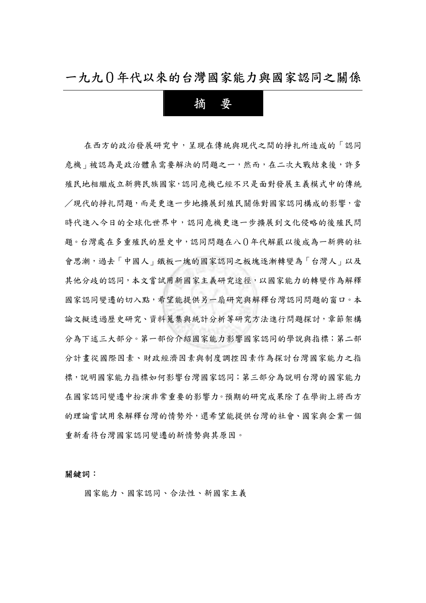## 摘 要

在西方的政治發展研究中,呈現在傳統與現代之間的掙扎所造成的「認同 危機 , 被認為是政治體系需要解決的問題之一,然而, 在二次大戰結束後, 許多 殖民地相繼成立新興民族國家,認同危機已經不只是面對發展主義模式中的傳統 /現代的掙扎問題,而是更進一步地擴展到殖民關係對國家認同構成的影響,當 時代進入今日的全球化世界中,認同危機更進一步擴展到文化侵略的後殖民問 題。台灣處在多重殖民的歷史中,認同問題在八0年代解嚴以後成為一新興的社 會思潮,過去「中國人」鐵板一塊的國家認同之板塊逐漸轉變為「台灣人」以及 其他分歧的認同,本文嘗試用新國家主義研究途徑,以國家能力的轉變作為解釋 國家認同變遷的切入點,希望能提供另一扇研究與解釋台灣認同問題的窗口。本 論文擬透過歷史研究、資料蒐集與統計分析等研究方法進行問題探討,章節架構 分為下述三大部分。第一部份介紹國家能力影響國家認同的學說與指標;第二部 分計畫從國際因素、財政經濟因素與制度調控因素作為探討台灣國家能力之指 標,說明國家能力指標如何影響台灣國家認同;第三部分為說明台灣的國家能力 在國家認同變遷中扮演非常重要的影響力。預期的研究成果除了在學術上將西方 的理論嘗試用來解釋台灣的情勢外,還希望能提供台灣的社會、國家與企業一個 重新看待台灣國家認同變遷的新情勢與其原因。

關鍵詞:

國家能力、國家認同、合法性、新國家主義